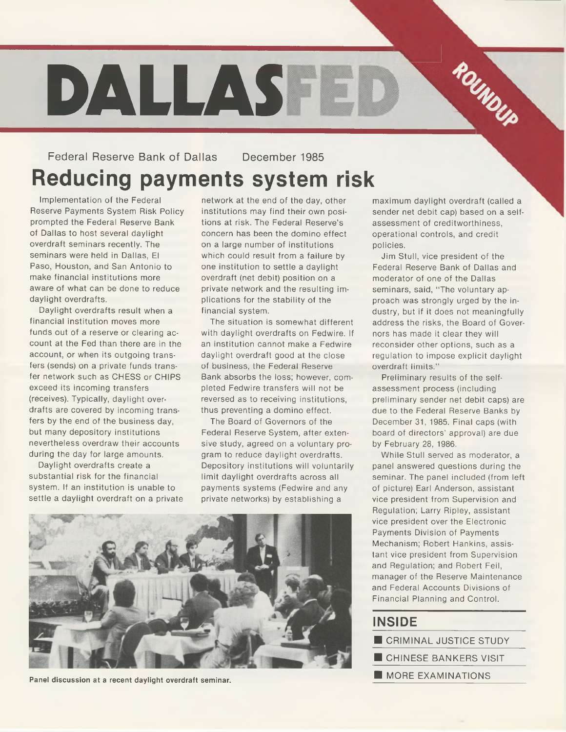# **DALLAS TED**  $\frac{r_{0}}{r_{0}}$

## Federal Reserve Bank of Dallas December 1985 **Reducing payments system risk**

Implementation of the Federal Reserve Payments System Risk Policy prompted the Federal Reserve Bank of Dallas to host several daylight overdraft seminars recently. The seminars were held in Dallas, El Paso, Houston, and San Antonio to make financial institutions more aware of what can be done to reduce daylight overdrafts.

Daylight overdrafts result when a financial institution moves more funds out of a reserve or clearing account at the Fed than there are in the account, or when its outgoing transfers (sends) on a private funds transfer network such as CHESS or CHIPS exceed its incoming transfers (receives). Typically, daylight overdrafts are covered by incoming transfers by the end of the business day, but many depository institutions nevertheless overdraw their accounts during the day for large amounts.

Daylight overdrafts create a substantial risk for the financial system. If an institution is unable to settle a daylight overdraft on a private

network at the end of the day, other institutions may find their own positions at risk. The Federal Reserve's concern has been the domino effect on a large number of institutions which could result from a failure by one institution to settle a daylight overdraft (net debit) position on a private network and the resulting implications for the stability of the financial system.

The situation is somewhat different with daylight overdrafts on Fedwire. If an institution cannot make a Fedwire daylight overdraft good at the close of business, the Federal Reserve Bank absorbs the loss; however, completed Fedwire transfers will not be reversed as to receiving institutions, thus preventing a domino effect.

The Board of Governors of the Federal Reserve System, after extensive study, agreed on a voluntary program to reduce daylight overdrafts. Depository institutions will voluntarily limit daylight overdrafts across all payments systems (Fedwire and any private networks) by establishing a



**Panel discussion at a recent daylight overdraft seminar.**

maximum daylight overdraft (called a sender net debit cap) based on a selfassessment of creditworthiness, operational controls, and credit policies.

Jim Stull, vice president of the Federal Reserve Bank of Dallas and moderator of one of the Dallas seminars, said, "The voluntary approach was strongly urged by the industry, but if it does not meaningfully address the risks, the Board of Governors has made it clear they will reconsider other options, such as a regulation to impose explicit daylight overdraft limits."

Preliminary results of the selfassessment process (including preliminary sender net debit caps) are due to the Federal Reserve Banks by December 31, 1985. Final caps (with board of directors' approval) are due by February 28, 1986.

While Stull served as moderator, a panel answered questions during the seminar. The panel included (from left of picture) Earl Anderson, assistant vice president from Supervision and Regulation; Larry Ripley, assistant vice president over the Electronic Payments Division of Payments Mechanism; Robert Hankins, assistant vice president from Supervision and Regulation; and Robert Feil, manager of the Reserve Maintenance and Federal Accounts Divisions of Financial Planning and Control.

## **INSIDE\_\_\_\_\_\_\_\_\_\_\_\_\_\_\_\_**

- CRIMINAL JUSTICE STUDY
- CHINESE BANKERS VISIT
- **NORE EXAMINATIONS**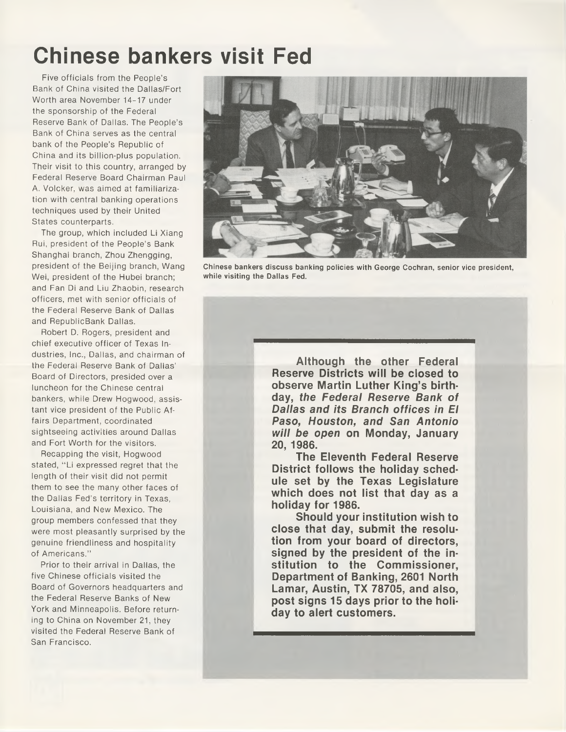# **Chinese bankers visit Fed**

Five officials from the People's Bank of China visited the Dallas/Fort Worth area November 14-17 under the sponsorship of the Federal Reserve Bank of Dallas. The People's Bank of China serves as the central bank of the People's Republic of China and its billion-plus population. Their visit to this country, arranged by Federal Reserve Board Chairman Paul A. Volcker, was aimed at familiarization with central banking operations techniques used by their United States counterparts.

The group, which included Li Xiang Rui, president of the People's Bank Shanghai branch, Zhou Zhengging, president of the Beijing branch, Wang Wei, president of the Hubei branch; and Fan Di and Liu Zhaobin, research officers, met with senior officials of the Federal Reserve Bank of Dallas and RepublicBank Dallas.

Robert D. Rogers, president and chief executive officer of Texas Industries, Inc., Dallas, and chairman of the Federal Reserve Bank of Dallas' Board of Directors, presided over a luncheon for the Chinese central bankers, while Drew Hogwood, assistant vice president of the Public Affairs Department, coordinated sightseeing activities around Dallas and Fort Worth for the visitors.

Recapping the visit, Hogwood stated, "Li expressed regret that the length of their visit did not permit them to see the many other faces of the Dallas Fed's territory in Texas, Louisiana, and New Mexico. The group members confessed that they were most pleasantly surprised by the genuine friendliness and hospitality of Americans."

Prior to their arrival in Dallas, the five Chinese officials visited the Board of Governors headquarters and the Federal Reserve Banks of New York and Minneapolis. Before returning to China on November 21, they visited the Federal Reserve Bank of San Francisco.



**Chinese bankers discuss banking policies with George Cochran, senior vice president, while visiting the Dallas Fed.**

**Although the other Federal Reserve Districts will be closed to observe Martin Luther King's birth**day, the Federal Reserve Bank of **Dallas and its Branch offices in El Paso, Houston, and San Antonio** *w ill be open* **on Monday, January 20, 1986.**

**The Eleventh Federal Reserve District follows the holiday schedule set by the Texas Legislature which does not list that day as a holiday for 1986.**

**Should your institution wish to close that day, submit the resolution from your board of directors, signed by the president of the institution to the Commissioner, Department of Banking, 2601 North Lamar, Austin, TX 78705, and also, post signs 15 days prior to the holiday to alert customers.**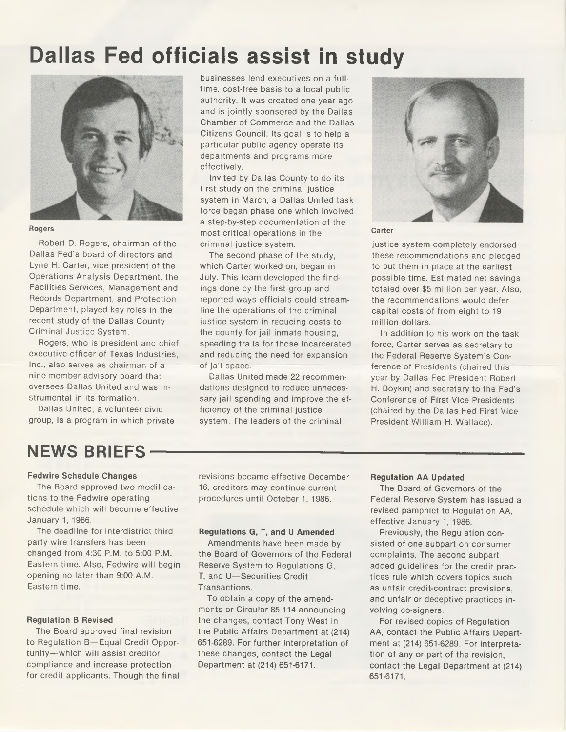# **Dallas Fed officials assist in study**



#### **Rogers**

Robert D. Rogers, chairman of the Dallas Fed's board of directors and Lyne H. Carter, vice president of the Operations Analysis Department, the Facilities Services, Management and Records Department, and Protection Department, played key roles in the recent study of the Dallas County Criminal Justice System.

Rogers, who is president and chief executive officer of Texas Industries, Inc., also serves as chairman of a nine-member advisory board that oversees Dallas United and was instrumental in its formation.

Dallas United, a volunteer civic group, is a program in which private businesses lend executives on a fulltime, cost-free basis to a local public authority. It was created one year ago and is jointly sponsored by the Dallas Chamber of Commerce and the Dallas Citizens Council. Its goal is to help a particular public agency operate its departments and programs more effectively.

Invited by Dallas County to do its first study on the criminal justice system in March, a Dallas United task force began phase one which involved a step-by-step documentation of the most critical operations in the criminal justice system.

The second phase of the study, which Carter worked on, began in July. This team developed the findings done by the first group and reported ways officials could streamline the operations of the criminal justice system in reducing costs to the county for jail inmate housing, speeding trails for those incarcerated and reducing the need for expansion of jail space.

Dallas United made 22 recommendations designed to reduce unnecessary jail spending and improve the efficiency of the criminal justice system. The leaders of the criminal



## **Carter**

justice system completely endorsed these recommendations and pledged to put them in place at the earliest possible time. Estimated net savings totaled over \$5 million per year. Also, the recommendations would defer capital costs of from eight to 19 million dollars.

In addition to his work on the task force, Carter serves as secretary to the Federal Reserve System's Conference of Presidents (chaired this year by Dallas Fed President Robert H. Boykin) and secretary to the Fed's Conference of First Vice Presidents (chaired by the Dallas Fed First Vice President William H. Wallace).

## **NEWS BRIEFS-**

## **Fedwire Schedule Changes**

The Board approved two modifications to the Fedwire operating schedule which will become effective January 1, 1986.

The deadline for interdistrict third party wire transfers has been changed from 4:30 P.M. to 5:00 P.M. Eastern time. Also, Fedwire will begin opening no later than 9:00 A.M. Eastern time.

## **Regulation B Revised**

The Board approved final revision to Regulation B—Equal Credit Opportunity—which will assist creditor compliance and increase protection for credit applicants. Though the final

revisions became effective December 16, creditors may continue current procedures until October 1, 1986.

## **Regulations G, T, and U Amended**

Amendments have been made by the Board of Governors of the Federal Reserve System to Regulations G, T, and U—Securities Credit Transactions.

To obtain a copy of the amendments or Circular 85-114 announcing the changes, contact Tony West in the Public Affairs Department at (214) 651-6289. For further interpretation of these changes, contact the Legal Department at (214) 651-6171.

## **Regulation AA Updated**

The Board of Governors of the Federal Reserve System has issued a revised pamphlet to Regulation AA, effective January 1, 1986.

Previously, the Regulation consisted of one subpart on consumer complaints. The second subpart added guidelines for the credit practices rule which covers topics such as unfair credit-contract provisions, and unfair or deceptive practices involving co-signers.

For revised copies of Regulation AA, contact the Public Affairs Department at (214) 651-6289. For interpretation of any or part of the revision, contact the Legal Department at (214) 651-6171.